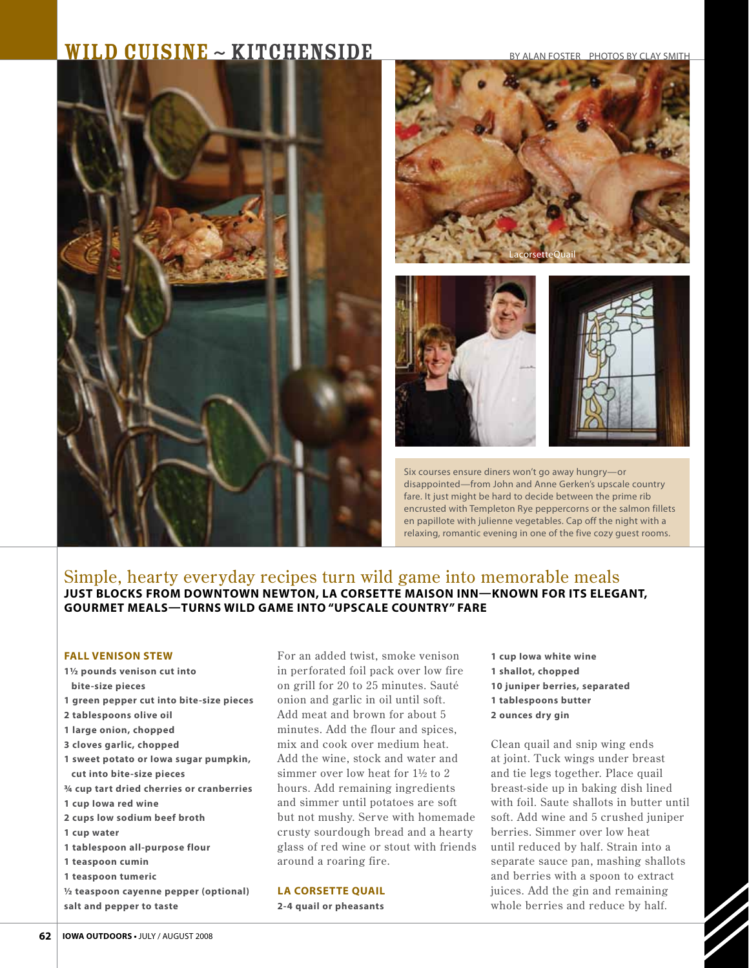# $\textbf{WILD CUISINE} \sim \textbf{KITCHENSIDE}$  BY ALAN FOSTER PHOTOS BY CLAY SMITH









Six courses ensure diners won't go away hungry—or disappointed—from John and Anne Gerken's upscale country fare. It just might be hard to decide between the prime rib encrusted with Templeton Rye peppercorns or the salmon fillets en papillote with julienne vegetables. Cap off the night with a relaxing, romantic evening in one of the five cozy guest rooms.

# Simple, hearty everyday recipes turn wild game into memorable meals **Just blocks from downtown Newton, La Corsette Maison Inn—known for its elegant, gourmet meals—turns wild game into "Upscale Country" fare**

#### **FALL VENISON STEW**

**11/2 pounds venison cut into bite-size pieces 1 green pepper cut into bite-size pieces 2 tablespoons olive oil 1 large onion, chopped 3 cloves garlic, chopped 1 sweet potato or Iowa sugar pumpkin, cut into bite-size pieces 3/4 cup tart dried cherries or cranberries 1 cup Iowa red wine 2 cups low sodium beef broth 1 cup water 1 tablespoon all-purpose flour 1 teaspoon cumin 1 teaspoon tumeric 1/2 teaspoon cayenne pepper (optional) salt and pepper to taste**

For an added twist, smoke venison in perforated foil pack over low fire on grill for 20 to 25 minutes. Sauté onion and garlic in oil until soft. Add meat and brown for about 5 minutes. Add the flour and spices, mix and cook over medium heat. Add the wine, stock and water and simmer over low heat for 1½ to 2 hours. Add remaining ingredients and simmer until potatoes are soft but not mushy. Ser ve with homemade crusty sourdough bread and a hearty glass of red wine or stout with friends around a roaring fire.

### **La corsette quail**

**2-4 quail or pheasants**

**1 cup Iowa white wine 1 shallot, chopped 10 juniper berries, separated 1 tablespoons butter 2 ounces dry gin**

Clean quail and snip wing ends at joint. Tuck wings under breast and tie legs together. Place quail breast-side up in baking dish lined with foil. Saute shallots in butter until soft. Add wine and 5 crushed juniper berries. Simmer over low heat until reduced by half. Strain into a separate sauce pan, mashing shallots and berries with a spoon to extract juices. Add the gin and remaining whole berries and reduce by half.